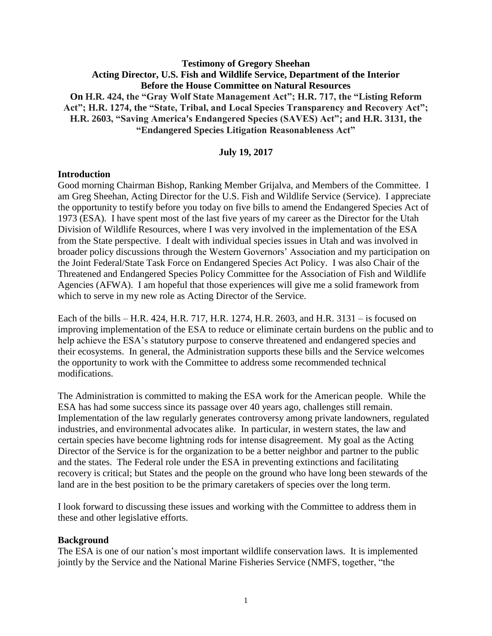## **Testimony of Gregory Sheehan Acting Director, U.S. Fish and Wildlife Service, Department of the Interior Before the House Committee on Natural Resources On H.R. 424, the "Gray Wolf State Management Act"; H.R. 717, the "Listing Reform Act"; H.R. 1274, the "State, Tribal, and Local Species Transparency and Recovery Act"; H.R. 2603, "Saving America's Endangered Species (SAVES) Act"; and H.R. 3131, the "Endangered Species Litigation Reasonableness Act"**

#### **July 19, 2017**

#### **Introduction**

Good morning Chairman Bishop, Ranking Member Grijalva, and Members of the Committee. I am Greg Sheehan, Acting Director for the U.S. Fish and Wildlife Service (Service). I appreciate the opportunity to testify before you today on five bills to amend the Endangered Species Act of 1973 (ESA). I have spent most of the last five years of my career as the Director for the Utah Division of Wildlife Resources, where I was very involved in the implementation of the ESA from the State perspective. I dealt with individual species issues in Utah and was involved in broader policy discussions through the Western Governors' Association and my participation on the Joint Federal/State Task Force on Endangered Species Act Policy. I was also Chair of the Threatened and Endangered Species Policy Committee for the Association of Fish and Wildlife Agencies (AFWA). I am hopeful that those experiences will give me a solid framework from which to serve in my new role as Acting Director of the Service.

Each of the bills – H.R. 424, H.R. 717, H.R. 1274, H.R. 2603, and H.R. 3131 – is focused on improving implementation of the ESA to reduce or eliminate certain burdens on the public and to help achieve the ESA's statutory purpose to conserve threatened and endangered species and their ecosystems. In general, the Administration supports these bills and the Service welcomes the opportunity to work with the Committee to address some recommended technical modifications.

The Administration is committed to making the ESA work for the American people. While the ESA has had some success since its passage over 40 years ago, challenges still remain. Implementation of the law regularly generates controversy among private landowners, regulated industries, and environmental advocates alike. In particular, in western states, the law and certain species have become lightning rods for intense disagreement. My goal as the Acting Director of the Service is for the organization to be a better neighbor and partner to the public and the states. The Federal role under the ESA in preventing extinctions and facilitating recovery is critical; but States and the people on the ground who have long been stewards of the land are in the best position to be the primary caretakers of species over the long term.

I look forward to discussing these issues and working with the Committee to address them in these and other legislative efforts.

#### **Background**

The ESA is one of our nation's most important wildlife conservation laws. It is implemented jointly by the Service and the National Marine Fisheries Service (NMFS, together, "the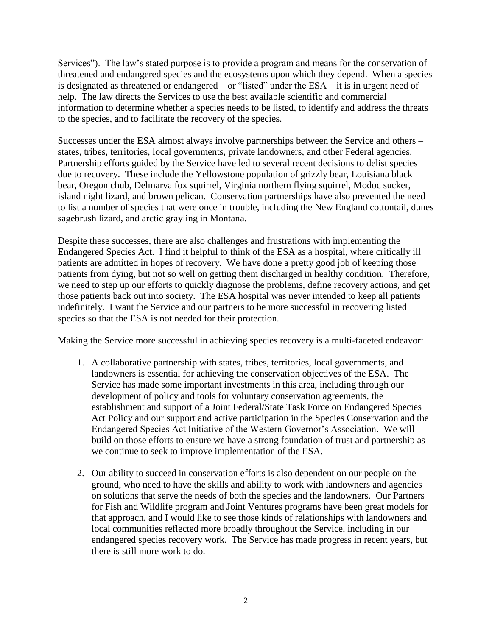Services"). The law's stated purpose is to provide a program and means for the conservation of threatened and endangered species and the ecosystems upon which they depend. When a species is designated as threatened or endangered – or "listed" under the ESA – it is in urgent need of help. The law directs the Services to use the best available scientific and commercial information to determine whether a species needs to be listed, to identify and address the threats to the species, and to facilitate the recovery of the species.

Successes under the ESA almost always involve partnerships between the Service and others – states, tribes, territories, local governments, private landowners, and other Federal agencies. Partnership efforts guided by the Service have led to several recent decisions to delist species due to recovery. These include the Yellowstone population of grizzly bear, Louisiana black bear, Oregon chub, Delmarva fox squirrel, Virginia northern flying squirrel, Modoc sucker, island night lizard, and brown pelican. Conservation partnerships have also prevented the need to list a number of species that were once in trouble, including the New England cottontail, dunes sagebrush lizard, and arctic grayling in Montana.

Despite these successes, there are also challenges and frustrations with implementing the Endangered Species Act. I find it helpful to think of the ESA as a hospital, where critically ill patients are admitted in hopes of recovery. We have done a pretty good job of keeping those patients from dying, but not so well on getting them discharged in healthy condition. Therefore, we need to step up our efforts to quickly diagnose the problems, define recovery actions, and get those patients back out into society. The ESA hospital was never intended to keep all patients indefinitely. I want the Service and our partners to be more successful in recovering listed species so that the ESA is not needed for their protection.

Making the Service more successful in achieving species recovery is a multi-faceted endeavor:

- 1. A collaborative partnership with states, tribes, territories, local governments, and landowners is essential for achieving the conservation objectives of the ESA. The Service has made some important investments in this area, including through our development of policy and tools for voluntary conservation agreements, the establishment and support of a Joint Federal/State Task Force on Endangered Species Act Policy and our support and active participation in the Species Conservation and the Endangered Species Act Initiative of the Western Governor's Association. We will build on those efforts to ensure we have a strong foundation of trust and partnership as we continue to seek to improve implementation of the ESA.
- 2. Our ability to succeed in conservation efforts is also dependent on our people on the ground, who need to have the skills and ability to work with landowners and agencies on solutions that serve the needs of both the species and the landowners. Our Partners for Fish and Wildlife program and Joint Ventures programs have been great models for that approach, and I would like to see those kinds of relationships with landowners and local communities reflected more broadly throughout the Service, including in our endangered species recovery work. The Service has made progress in recent years, but there is still more work to do.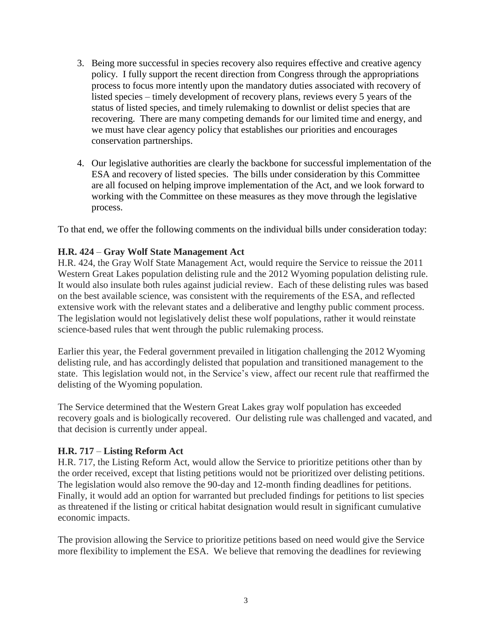- 3. Being more successful in species recovery also requires effective and creative agency policy. I fully support the recent direction from Congress through the appropriations process to focus more intently upon the mandatory duties associated with recovery of listed species – timely development of recovery plans, reviews every 5 years of the status of listed species, and timely rulemaking to downlist or delist species that are recovering. There are many competing demands for our limited time and energy, and we must have clear agency policy that establishes our priorities and encourages conservation partnerships.
- 4. Our legislative authorities are clearly the backbone for successful implementation of the ESA and recovery of listed species. The bills under consideration by this Committee are all focused on helping improve implementation of the Act, and we look forward to working with the Committee on these measures as they move through the legislative process.

To that end, we offer the following comments on the individual bills under consideration today:

## **H.R. 424** – **Gray Wolf State Management Act**

H.R. 424, the Gray Wolf State Management Act, would require the Service to reissue the 2011 Western Great Lakes population delisting rule and the 2012 Wyoming population delisting rule. It would also insulate both rules against judicial review. Each of these delisting rules was based on the best available science, was consistent with the requirements of the ESA, and reflected extensive work with the relevant states and a deliberative and lengthy public comment process. The legislation would not legislatively delist these wolf populations, rather it would reinstate science-based rules that went through the public rulemaking process.

Earlier this year, the Federal government prevailed in litigation challenging the 2012 Wyoming delisting rule, and has accordingly delisted that population and transitioned management to the state. This legislation would not, in the Service's view, affect our recent rule that reaffirmed the delisting of the Wyoming population.

The Service determined that the Western Great Lakes gray wolf population has exceeded recovery goals and is biologically recovered. Our delisting rule was challenged and vacated, and that decision is currently under appeal.

## **H.R. 717** – **Listing Reform Act**

H.R. 717, the Listing Reform Act, would allow the Service to prioritize petitions other than by the order received, except that listing petitions would not be prioritized over delisting petitions. The legislation would also remove the 90-day and 12-month finding deadlines for petitions. Finally, it would add an option for warranted but precluded findings for petitions to list species as threatened if the listing or critical habitat designation would result in significant cumulative economic impacts.

The provision allowing the Service to prioritize petitions based on need would give the Service more flexibility to implement the ESA. We believe that removing the deadlines for reviewing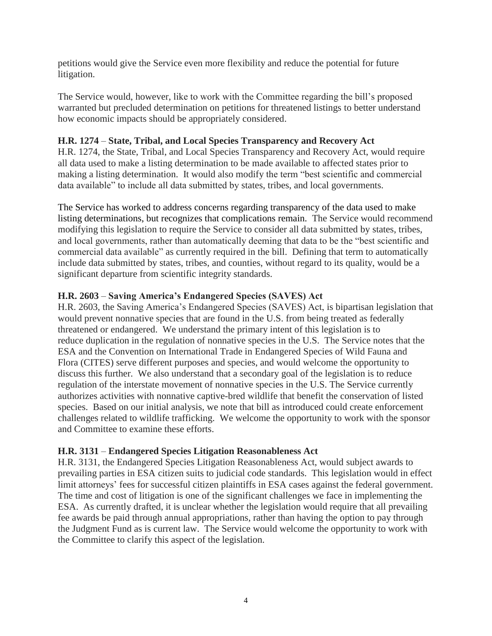petitions would give the Service even more flexibility and reduce the potential for future litigation.

The Service would, however, like to work with the Committee regarding the bill's proposed warranted but precluded determination on petitions for threatened listings to better understand how economic impacts should be appropriately considered.

## **H.R. 1274** – **State, Tribal, and Local Species Transparency and Recovery Act**

H.R. 1274, the State, Tribal, and Local Species Transparency and Recovery Act, would require all data used to make a listing determination to be made available to affected states prior to making a listing determination. It would also modify the term "best scientific and commercial data available" to include all data submitted by states, tribes, and local governments.

The Service has worked to address concerns regarding transparency of the data used to make listing determinations, but recognizes that complications remain. The Service would recommend modifying this legislation to require the Service to consider all data submitted by states, tribes, and local governments, rather than automatically deeming that data to be the "best scientific and commercial data available" as currently required in the bill. Defining that term to automatically include data submitted by states, tribes, and counties, without regard to its quality, would be a significant departure from scientific integrity standards.

# **H.R. 2603** – **Saving America's Endangered Species (SAVES) Act**

H.R. 2603, the Saving America's Endangered Species (SAVES) Act, is bipartisan legislation that would prevent nonnative species that are found in the U.S. from being treated as federally threatened or endangered. We understand the primary intent of this legislation is to reduce duplication in the regulation of nonnative species in the U.S. The Service notes that the ESA and the Convention on International Trade in Endangered Species of Wild Fauna and Flora (CITES) serve different purposes and species, and would welcome the opportunity to discuss this further. We also understand that a secondary goal of the legislation is to reduce regulation of the interstate movement of nonnative species in the U.S. The Service currently authorizes activities with nonnative captive-bred wildlife that benefit the conservation of listed species. Based on our initial analysis, we note that bill as introduced could create enforcement challenges related to wildlife trafficking. We welcome the opportunity to work with the sponsor and Committee to examine these efforts.

## **H.R. 3131** – **Endangered Species Litigation Reasonableness Act**

H.R. 3131, the Endangered Species Litigation Reasonableness Act, would subject awards to prevailing parties in ESA citizen suits to judicial code standards. This legislation would in effect limit attorneys' fees for successful citizen plaintiffs in ESA cases against the federal government. The time and cost of litigation is one of the significant challenges we face in implementing the ESA. As currently drafted, it is unclear whether the legislation would require that all prevailing fee awards be paid through annual appropriations, rather than having the option to pay through the Judgment Fund as is current law. The Service would welcome the opportunity to work with the Committee to clarify this aspect of the legislation.